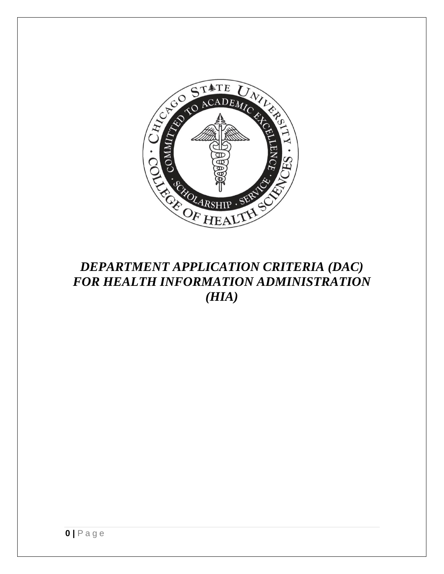

## *DEPARTMENT APPLICATION CRITERIA (DAC) FOR HEALTH INFORMATION ADMINISTRATION (HIA)*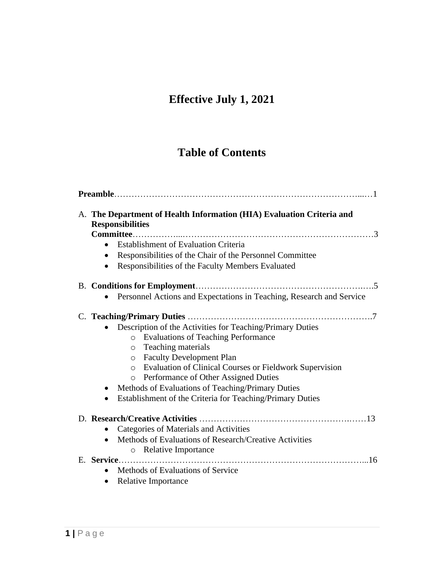# **Effective July 1, 2021**

## **Table of Contents**

| A. The Department of Health Information (HIA) Evaluation Criteria and<br><b>Responsibilities</b><br><b>Establishment of Evaluation Criteria</b><br>Responsibilities of the Chair of the Personnel Committee<br>Responsibilities of the Faculty Members Evaluated<br>$\bullet$                                                                                                                                               |
|-----------------------------------------------------------------------------------------------------------------------------------------------------------------------------------------------------------------------------------------------------------------------------------------------------------------------------------------------------------------------------------------------------------------------------|
|                                                                                                                                                                                                                                                                                                                                                                                                                             |
| Personnel Actions and Expectations in Teaching, Research and Service                                                                                                                                                                                                                                                                                                                                                        |
| Description of the Activities for Teaching/Primary Duties<br>o Evaluations of Teaching Performance<br>o Teaching materials<br>o Faculty Development Plan<br>o Evaluation of Clinical Courses or Fieldwork Supervision<br><b>Performance of Other Assigned Duties</b><br>$\circ$<br>Methods of Evaluations of Teaching/Primary Duties<br>$\bullet$<br>Establishment of the Criteria for Teaching/Primary Duties<br>$\bullet$ |
| Categories of Materials and Activities<br>Methods of Evaluations of Research/Creative Activities<br>o Relative Importance                                                                                                                                                                                                                                                                                                   |
| Methods of Evaluations of Service<br><b>Relative Importance</b><br>$\bullet$                                                                                                                                                                                                                                                                                                                                                |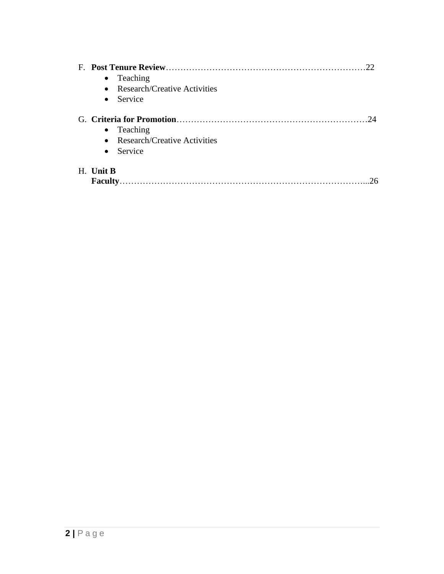| 22<br>$\bullet$ Teaching<br>• Research/Creative Activities<br>$\bullet$ Service |
|---------------------------------------------------------------------------------|
| 24<br>$\bullet$ Teaching<br>• Research/Creative Activities<br>$\bullet$ Service |
| H. Unit B<br>26<br>Faculty.                                                     |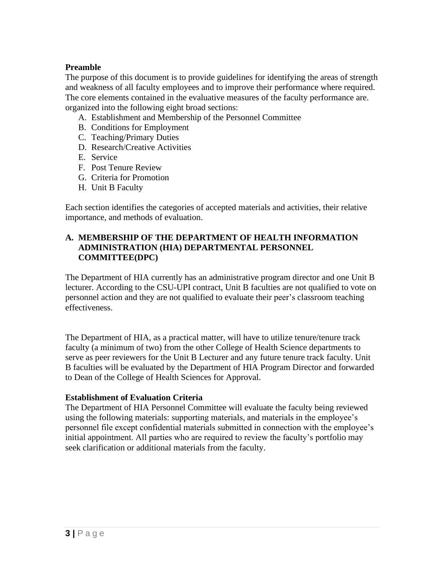#### **Preamble**

The purpose of this document is to provide guidelines for identifying the areas of strength and weakness of all faculty employees and to improve their performance where required. The core elements contained in the evaluative measures of the faculty performance are. organized into the following eight broad sections:

- A. Establishment and Membership of the Personnel Committee
- B. Conditions for Employment
- C. Teaching/Primary Duties
- D. Research/Creative Activities
- E. Service
- F. Post Tenure Review
- G. Criteria for Promotion
- H. Unit B Faculty

Each section identifies the categories of accepted materials and activities, their relative importance, and methods of evaluation.

#### **A. MEMBERSHIP OF THE DEPARTMENT OF HEALTH INFORMATION ADMINISTRATION (HIA) DEPARTMENTAL PERSONNEL COMMITTEE(DPC)**

The Department of HIA currently has an administrative program director and one Unit B lecturer. According to the CSU-UPI contract, Unit B faculties are not qualified to vote on personnel action and they are not qualified to evaluate their peer's classroom teaching effectiveness.

The Department of HIA, as a practical matter, will have to utilize tenure/tenure track faculty (a minimum of two) from the other College of Health Science departments to serve as peer reviewers for the Unit B Lecturer and any future tenure track faculty. Unit B faculties will be evaluated by the Department of HIA Program Director and forwarded to Dean of the College of Health Sciences for Approval.

#### **Establishment of Evaluation Criteria**

The Department of HIA Personnel Committee will evaluate the faculty being reviewed using the following materials: supporting materials, and materials in the employee's personnel file except confidential materials submitted in connection with the employee's initial appointment. All parties who are required to review the faculty's portfolio may seek clarification or additional materials from the faculty.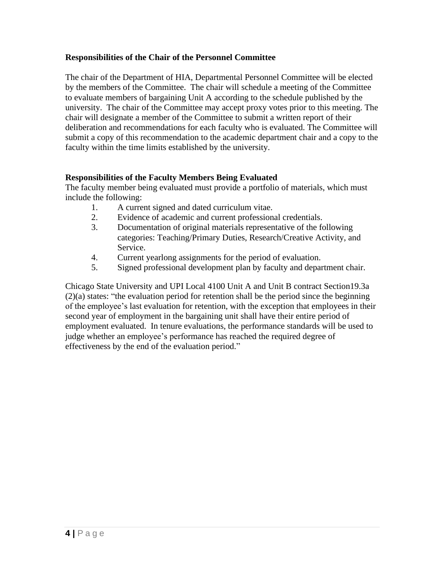#### **Responsibilities of the Chair of the Personnel Committee**

The chair of the Department of HIA, Departmental Personnel Committee will be elected by the members of the Committee. The chair will schedule a meeting of the Committee to evaluate members of bargaining Unit A according to the schedule published by the university. The chair of the Committee may accept proxy votes prior to this meeting. The chair will designate a member of the Committee to submit a written report of their deliberation and recommendations for each faculty who is evaluated. The Committee will submit a copy of this recommendation to the academic department chair and a copy to the faculty within the time limits established by the university.

#### **Responsibilities of the Faculty Members Being Evaluated**

The faculty member being evaluated must provide a portfolio of materials, which must include the following:

- 1. A current signed and dated curriculum vitae.
- 2. Evidence of academic and current professional credentials.
- 3. Documentation of original materials representative of the following categories: Teaching/Primary Duties, Research/Creative Activity, and Service.
- 4. Current yearlong assignments for the period of evaluation.
- 5. Signed professional development plan by faculty and department chair.

Chicago State University and UPI Local 4100 Unit A and Unit B contract Section19.3a (2)(a) states: "the evaluation period for retention shall be the period since the beginning of the employee's last evaluation for retention, with the exception that employees in their second year of employment in the bargaining unit shall have their entire period of employment evaluated. In tenure evaluations, the performance standards will be used to judge whether an employee's performance has reached the required degree of effectiveness by the end of the evaluation period."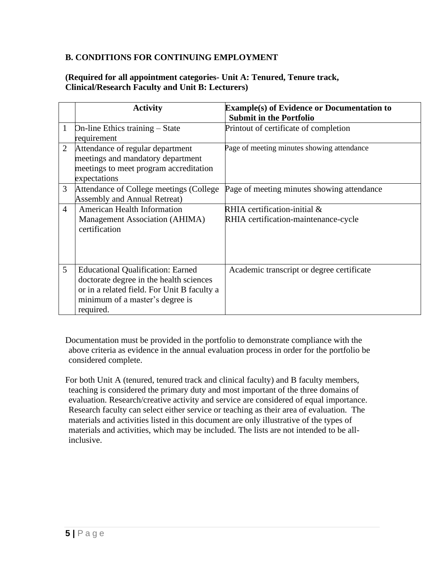#### **B. CONDITIONS FOR CONTINUING EMPLOYMENT**

#### **(Required for all appointment categories- Unit A: Tenured, Tenure track, Clinical/Research Faculty and Unit B: Lecturers)**

|                | <b>Activity</b>                             | <b>Example(s) of Evidence or Documentation to</b> |
|----------------|---------------------------------------------|---------------------------------------------------|
|                |                                             | <b>Submit in the Portfolio</b>                    |
| 1              | On-line Ethics training – State             | Printout of certificate of completion             |
|                | requirement                                 |                                                   |
| $\overline{2}$ | Attendance of regular department            | Page of meeting minutes showing attendance        |
|                | meetings and mandatory department           |                                                   |
|                | meetings to meet program accreditation      |                                                   |
|                | expectations                                |                                                   |
| 3              | Attendance of College meetings (College)    | Page of meeting minutes showing attendance        |
|                | <b>Assembly and Annual Retreat)</b>         |                                                   |
| $\overline{4}$ | <b>American Health Information</b>          | RHIA certification-initial &                      |
|                | Management Association (AHIMA)              | RHIA certification-maintenance-cycle              |
|                | certification                               |                                                   |
|                |                                             |                                                   |
|                |                                             |                                                   |
|                |                                             |                                                   |
| 5              | <b>Educational Qualification: Earned</b>    | Academic transcript or degree certificate         |
|                | doctorate degree in the health sciences     |                                                   |
|                | or in a related field. For Unit B faculty a |                                                   |
|                | minimum of a master's degree is             |                                                   |
|                | required.                                   |                                                   |

Documentation must be provided in the portfolio to demonstrate compliance with the above criteria as evidence in the annual evaluation process in order for the portfolio be considered complete.

For both Unit A (tenured, tenured track and clinical faculty) and B faculty members, teaching is considered the primary duty and most important of the three domains of evaluation. Research/creative activity and service are considered of equal importance. Research faculty can select either service or teaching as their area of evaluation. The materials and activities listed in this document are only illustrative of the types of materials and activities, which may be included. The lists are not intended to be allinclusive.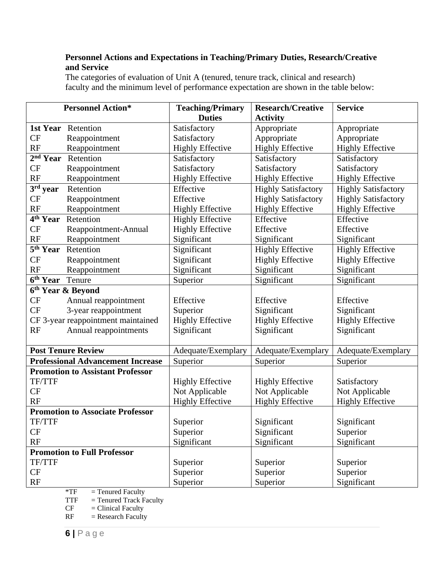#### **Personnel Actions and Expectations in Teaching/Primary Duties, Research/Creative and Service**

The categories of evaluation of Unit A (tenured, tenure track, clinical and research) faculty and the minimum level of performance expectation are shown in the table below:

|                             | <b>Personnel Action*</b>                 | <b>Teaching/Primary</b><br><b>Research/Creative</b> |                            | <b>Service</b>             |
|-----------------------------|------------------------------------------|-----------------------------------------------------|----------------------------|----------------------------|
|                             |                                          | <b>Duties</b>                                       | <b>Activity</b>            |                            |
| 1st Year                    | Retention                                | Satisfactory                                        | Appropriate                | Appropriate                |
| <b>CF</b>                   | Reappointment                            | Satisfactory                                        | Appropriate                | Appropriate                |
| RF                          | Reappointment                            | <b>Highly Effective</b>                             | <b>Highly Effective</b>    | <b>Highly Effective</b>    |
| $2nd$ Year                  | Retention                                | Satisfactory                                        | Satisfactory               | Satisfactory               |
| CF                          | Reappointment                            | Satisfactory                                        | Satisfactory               | Satisfactory               |
| RF                          | Reappointment                            | <b>Highly Effective</b>                             | <b>Highly Effective</b>    | <b>Highly Effective</b>    |
| 3rd year                    | Retention                                | Effective                                           | <b>Highly Satisfactory</b> | <b>Highly Satisfactory</b> |
| CF                          | Reappointment                            | Effective                                           | <b>Highly Satisfactory</b> | <b>Highly Satisfactory</b> |
| RF                          | Reappointment                            | <b>Highly Effective</b>                             | <b>Highly Effective</b>    | <b>Highly Effective</b>    |
|                             | 4 <sup>th</sup> Year Retention           | <b>Highly Effective</b>                             | Effective                  | Effective                  |
| <b>CF</b>                   | Reappointment-Annual                     | <b>Highly Effective</b>                             | Effective                  | Effective                  |
| RF                          | Reappointment                            | Significant                                         | Significant                | Significant                |
| 5 <sup>th</sup> Year        | Retention                                | Significant                                         | <b>Highly Effective</b>    | <b>Highly Effective</b>    |
| CF                          | Reappointment                            | Significant                                         | <b>Highly Effective</b>    | <b>Highly Effective</b>    |
| RF                          | Reappointment                            | Significant                                         | Significant                | Significant                |
| 6 <sup>th</sup> Year Tenure |                                          | Superior                                            | Significant                | Significant                |
|                             | 6 <sup>th</sup> Year & Beyond            |                                                     |                            |                            |
| CF                          | Annual reappointment                     | Effective                                           | Effective                  | Effective                  |
| CF                          | 3-year reappointment                     | Superior                                            | Significant                | Significant                |
|                             | CF 3-year reappointment maintained       | <b>Highly Effective</b>                             | <b>Highly Effective</b>    | <b>Highly Effective</b>    |
| RF<br>Annual reappointments |                                          | Significant                                         | Significant                | Significant                |
|                             |                                          |                                                     |                            |                            |
|                             | <b>Post Tenure Review</b>                | Adequate/Exemplary                                  | Adequate/Exemplary         | Adequate/Exemplary         |
|                             | <b>Professional Advancement Increase</b> | Superior                                            | Superior                   | Superior                   |
|                             | <b>Promotion to Assistant Professor</b>  |                                                     |                            |                            |
| TF/TTF                      |                                          | <b>Highly Effective</b>                             | <b>Highly Effective</b>    | Satisfactory               |
| CF                          |                                          | Not Applicable                                      | Not Applicable             | Not Applicable             |
| <b>RF</b>                   |                                          | <b>Highly Effective</b>                             | <b>Highly Effective</b>    | <b>Highly Effective</b>    |
|                             | <b>Promotion to Associate Professor</b>  |                                                     |                            |                            |
| TF/TTF                      |                                          | Superior                                            | Significant                | Significant                |
| CF                          |                                          | Superior                                            | Significant                | Superior                   |
| RF                          |                                          | Significant                                         | Significant                | Significant                |
|                             | <b>Promotion to Full Professor</b>       |                                                     |                            |                            |
| TF/TTF                      |                                          | Superior                                            | Superior                   | Superior                   |
| <b>CF</b>                   |                                          | Superior                                            | Superior                   | Superior                   |
| RF                          |                                          | Superior                                            | Superior                   | Significant                |

 $*TF$  = Tenured Faculty

TTF  $=$  Tenured Track Faculty<br>CF  $=$  Clinical Faculty

 $CF = Clinical Faculty$ <br> $RF = Research Faculty$ 

 $=$  Research Faculty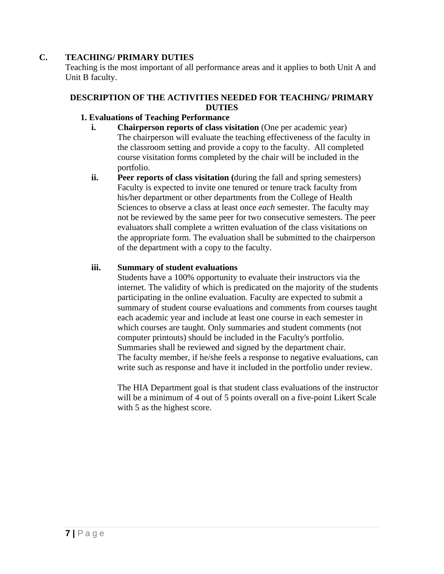#### **C. TEACHING/ PRIMARY DUTIES**

Teaching is the most important of all performance areas and it applies to both Unit A and Unit B faculty.

#### **DESCRIPTION OF THE ACTIVITIES NEEDED FOR TEACHING/ PRIMARY DUTIES**

#### **1. Evaluations of Teaching Performance**

- **i. Chairperson reports of class visitation** (One per academic year) The chairperson will evaluate the teaching effectiveness of the faculty in the classroom setting and provide a copy to the faculty. All completed course visitation forms completed by the chair will be included in the portfolio.
- **ii. Peer reports of class visitation (**during the fall and spring semesters) Faculty is expected to invite one tenured or tenure track faculty from his/her department or other departments from the College of Health Sciences to observe a class at least once *each* semester. The faculty may not be reviewed by the same peer for two consecutive semesters. The peer evaluators shall complete a written evaluation of the class visitations on the appropriate form. The evaluation shall be submitted to the chairperson of the department with a copy to the faculty.

#### **iii. Summary of student evaluations**

Students have a 100% opportunity to evaluate their instructors via the internet. The validity of which is predicated on the majority of the students participating in the online evaluation. Faculty are expected to submit a summary of student course evaluations and comments from courses taught each academic year and include at least one course in each semester in which courses are taught. Only summaries and student comments (not computer printouts) should be included in the Faculty's portfolio. Summaries shall be reviewed and signed by the department chair. The faculty member, if he/she feels a response to negative evaluations, can write such as response and have it included in the portfolio under review.

The HIA Department goal is that student class evaluations of the instructor will be a minimum of 4 out of 5 points overall on a five-point Likert Scale with 5 as the highest score.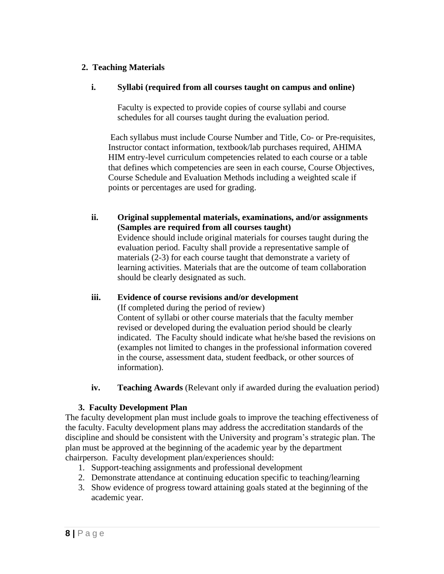#### **2. Teaching Materials**

#### **i. Syllabi (required from all courses taught on campus and online)**

Faculty is expected to provide copies of course syllabi and course schedules for all courses taught during the evaluation period.

Each syllabus must include Course Number and Title, Co- or Pre-requisites, Instructor contact information, textbook/lab purchases required, AHIMA HIM entry-level curriculum competencies related to each course or a table that defines which competencies are seen in each course, Course Objectives, Course Schedule and Evaluation Methods including a weighted scale if points or percentages are used for grading.

**ii. Original supplemental materials, examinations, and/or assignments (Samples are required from all courses taught)** Evidence should include original materials for courses taught during the

evaluation period. Faculty shall provide a representative sample of materials (2-3) for each course taught that demonstrate a variety of learning activities. Materials that are the outcome of team collaboration should be clearly designated as such.

#### **iii. Evidence of course revisions and/or development**

(If completed during the period of review)

Content of syllabi or other course materials that the faculty member revised or developed during the evaluation period should be clearly indicated. The Faculty should indicate what he/she based the revisions on (examples not limited to changes in the professional information covered in the course, assessment data, student feedback, or other sources of information).

**iv. Teaching Awards** (Relevant only if awarded during the evaluation period)

#### **3. Faculty Development Plan**

The faculty development plan must include goals to improve the teaching effectiveness of the faculty. Faculty development plans may address the accreditation standards of the discipline and should be consistent with the University and program's strategic plan. The plan must be approved at the beginning of the academic year by the department chairperson. Faculty development plan/experiences should:

- 1. Support-teaching assignments and professional development
- 2. Demonstrate attendance at continuing education specific to teaching/learning
- 3. Show evidence of progress toward attaining goals stated at the beginning of the academic year.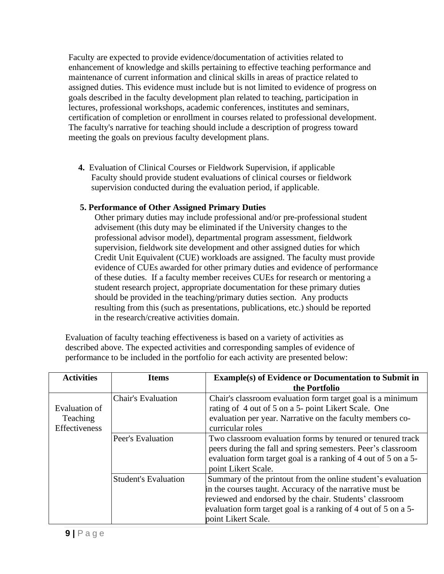Faculty are expected to provide evidence/documentation of activities related to enhancement of knowledge and skills pertaining to effective teaching performance and maintenance of current information and clinical skills in areas of practice related to assigned duties. This evidence must include but is not limited to evidence of progress on goals described in the faculty development plan related to teaching, participation in lectures, professional workshops, academic conferences, institutes and seminars, certification of completion or enrollment in courses related to professional development. The faculty's narrative for teaching should include a description of progress toward meeting the goals on previous faculty development plans.

**4.** Evaluation of Clinical Courses or Fieldwork Supervision, if applicable Faculty should provide student evaluations of clinical courses or fieldwork supervision conducted during the evaluation period, if applicable.

#### **5. Performance of Other Assigned Primary Duties**

Other primary duties may include professional and/or pre-professional student advisement (this duty may be eliminated if the University changes to the professional advisor model), departmental program assessment, fieldwork supervision, fieldwork site development and other assigned duties for which Credit Unit Equivalent (CUE) workloads are assigned. The faculty must provide evidence of CUEs awarded for other primary duties and evidence of performance of these duties. If a faculty member receives CUEs for research or mentoring a student research project, appropriate documentation for these primary duties should be provided in the teaching/primary duties section. Any products resulting from this (such as presentations, publications, etc.) should be reported in the research/creative activities domain.

Evaluation of faculty teaching effectiveness is based on a variety of activities as described above. The expected activities and corresponding samples of evidence of performance to be included in the portfolio for each activity are presented below:

| <b>Activities</b>                          | <b>Items</b>                | <b>Example(s) of Evidence or Documentation to Submit in</b><br>the Portfolio                                                                                                                                                                                                 |
|--------------------------------------------|-----------------------------|------------------------------------------------------------------------------------------------------------------------------------------------------------------------------------------------------------------------------------------------------------------------------|
| Evaluation of<br>Teaching<br>Effectiveness | <b>Chair's Evaluation</b>   | Chair's classroom evaluation form target goal is a minimum<br>rating of 4 out of 5 on a 5- point Likert Scale. One<br>evaluation per year. Narrative on the faculty members co-<br>curricular roles                                                                          |
|                                            | Peer's Evaluation           | Two classroom evaluation forms by tenured or tenured track<br>peers during the fall and spring semesters. Peer's classroom<br>evaluation form target goal is a ranking of 4 out of 5 on a 5-<br>point Likert Scale.                                                          |
|                                            | <b>Student's Evaluation</b> | Summary of the printout from the online student's evaluation<br>in the courses taught. Accuracy of the narrative must be<br>reviewed and endorsed by the chair. Students' classroom<br>evaluation form target goal is a ranking of 4 out of 5 on a 5-<br>point Likert Scale. |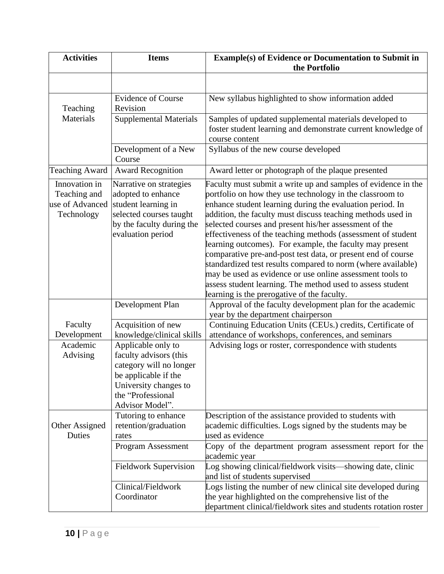| <b>Activities</b>                                              | <b>Items</b>                                                                                                                                                                                                                                                                                                                                                                                                                                                                                                                                                                                                                                                                                                                                                                                                                                                                                               | <b>Example(s) of Evidence or Documentation to Submit in</b><br>the Portfolio                                                                                                               |
|----------------------------------------------------------------|------------------------------------------------------------------------------------------------------------------------------------------------------------------------------------------------------------------------------------------------------------------------------------------------------------------------------------------------------------------------------------------------------------------------------------------------------------------------------------------------------------------------------------------------------------------------------------------------------------------------------------------------------------------------------------------------------------------------------------------------------------------------------------------------------------------------------------------------------------------------------------------------------------|--------------------------------------------------------------------------------------------------------------------------------------------------------------------------------------------|
|                                                                |                                                                                                                                                                                                                                                                                                                                                                                                                                                                                                                                                                                                                                                                                                                                                                                                                                                                                                            |                                                                                                                                                                                            |
| Teaching                                                       | <b>Evidence of Course</b><br>Revision                                                                                                                                                                                                                                                                                                                                                                                                                                                                                                                                                                                                                                                                                                                                                                                                                                                                      | New syllabus highlighted to show information added                                                                                                                                         |
| <b>Materials</b>                                               | <b>Supplemental Materials</b>                                                                                                                                                                                                                                                                                                                                                                                                                                                                                                                                                                                                                                                                                                                                                                                                                                                                              | Samples of updated supplemental materials developed to<br>foster student learning and demonstrate current knowledge of<br>course content                                                   |
|                                                                | Development of a New<br>Course                                                                                                                                                                                                                                                                                                                                                                                                                                                                                                                                                                                                                                                                                                                                                                                                                                                                             | Syllabus of the new course developed                                                                                                                                                       |
| <b>Teaching Award</b>                                          | <b>Award Recognition</b>                                                                                                                                                                                                                                                                                                                                                                                                                                                                                                                                                                                                                                                                                                                                                                                                                                                                                   | Award letter or photograph of the plaque presented                                                                                                                                         |
| Innovation in<br>Teaching and<br>use of Advanced<br>Technology | Faculty must submit a write up and samples of evidence in the<br>Narrative on strategies<br>portfolio on how they use technology in the classroom to<br>adopted to enhance<br>student learning in<br>enhance student learning during the evaluation period. In<br>selected courses taught<br>addition, the faculty must discuss teaching methods used in<br>by the faculty during the<br>selected courses and present his/her assessment of the<br>evaluation period<br>effectiveness of the teaching methods (assessment of student<br>learning outcomes). For example, the faculty may present<br>comparative pre-and-post test data, or present end of course<br>standardized test results compared to norm (where available)<br>may be used as evidence or use online assessment tools to<br>assess student learning. The method used to assess student<br>learning is the prerogative of the faculty. |                                                                                                                                                                                            |
|                                                                | Development Plan                                                                                                                                                                                                                                                                                                                                                                                                                                                                                                                                                                                                                                                                                                                                                                                                                                                                                           | Approval of the faculty development plan for the academic<br>year by the department chairperson                                                                                            |
| Faculty<br>Development                                         | Acquisition of new<br>knowledge/clinical skills                                                                                                                                                                                                                                                                                                                                                                                                                                                                                                                                                                                                                                                                                                                                                                                                                                                            | Continuing Education Units (CEUs.) credits, Certificate of<br>attendance of workshops, conferences, and seminars                                                                           |
| Academic<br>Advising                                           | Applicable only to<br>faculty advisors (this<br>category will no longer<br>be applicable if the<br>University changes to<br>the "Professional<br>Advisor Model".                                                                                                                                                                                                                                                                                                                                                                                                                                                                                                                                                                                                                                                                                                                                           | Advising logs or roster, correspondence with students                                                                                                                                      |
| Other Assigned<br>Duties                                       | Tutoring to enhance<br>retention/graduation<br>rates                                                                                                                                                                                                                                                                                                                                                                                                                                                                                                                                                                                                                                                                                                                                                                                                                                                       | Description of the assistance provided to students with<br>academic difficulties. Logs signed by the students may be<br>used as evidence                                                   |
|                                                                | Program Assessment                                                                                                                                                                                                                                                                                                                                                                                                                                                                                                                                                                                                                                                                                                                                                                                                                                                                                         | Copy of the department program assessment report for the<br>academic year                                                                                                                  |
|                                                                | <b>Fieldwork Supervision</b>                                                                                                                                                                                                                                                                                                                                                                                                                                                                                                                                                                                                                                                                                                                                                                                                                                                                               | Log showing clinical/fieldwork visits—showing date, clinic<br>and list of students supervised                                                                                              |
|                                                                | Clinical/Fieldwork<br>Coordinator                                                                                                                                                                                                                                                                                                                                                                                                                                                                                                                                                                                                                                                                                                                                                                                                                                                                          | Logs listing the number of new clinical site developed during<br>the year highlighted on the comprehensive list of the<br>department clinical/fieldwork sites and students rotation roster |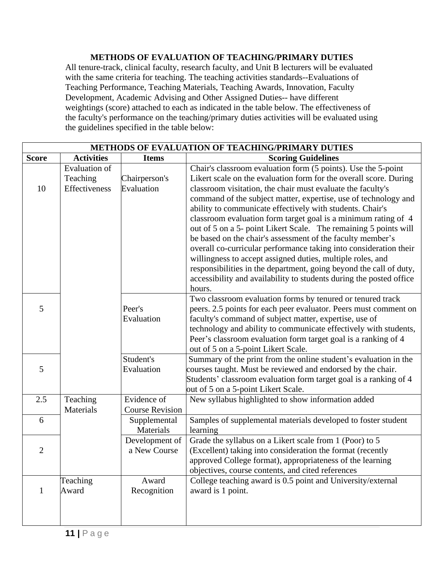#### **METHODS OF EVALUATION OF TEACHING/PRIMARY DUTIES**

All tenure-track, clinical faculty, research faculty, and Unit B lecturers will be evaluated with the same criteria for teaching. The teaching activities standards--Evaluations of Teaching Performance, Teaching Materials, Teaching Awards, Innovation, Faculty Development, Academic Advising and Other Assigned Duties-- have different weightings (score) attached to each as indicated in the table below. The effectiveness of the faculty's performance on the teaching/primary duties activities will be evaluated using the guidelines specified in the table below:

| <b>METHODS OF EVALUATION OF TEACHING/PRIMARY DUTIES</b> |                                                   |                                       |                                                                                                                                                                                                                                                                                                                                                                                                                                                                                                                                                                                                                                                                                                                                                                                                                                 |
|---------------------------------------------------------|---------------------------------------------------|---------------------------------------|---------------------------------------------------------------------------------------------------------------------------------------------------------------------------------------------------------------------------------------------------------------------------------------------------------------------------------------------------------------------------------------------------------------------------------------------------------------------------------------------------------------------------------------------------------------------------------------------------------------------------------------------------------------------------------------------------------------------------------------------------------------------------------------------------------------------------------|
| <b>Score</b>                                            | <b>Activities</b>                                 | <b>Items</b>                          | <b>Scoring Guidelines</b>                                                                                                                                                                                                                                                                                                                                                                                                                                                                                                                                                                                                                                                                                                                                                                                                       |
| 10                                                      | <b>Evaluation of</b><br>Teaching<br>Effectiveness | Chairperson's<br>Evaluation           | Chair's classroom evaluation form (5 points). Use the 5-point<br>Likert scale on the evaluation form for the overall score. During<br>classroom visitation, the chair must evaluate the faculty's<br>command of the subject matter, expertise, use of technology and<br>ability to communicate effectively with students. Chair's<br>classroom evaluation form target goal is a minimum rating of 4<br>out of 5 on a 5- point Likert Scale. The remaining 5 points will<br>be based on the chair's assessment of the faculty member's<br>overall co-curricular performance taking into consideration their<br>willingness to accept assigned duties, multiple roles, and<br>responsibilities in the department, going beyond the call of duty,<br>accessibility and availability to students during the posted office<br>hours. |
| 5                                                       |                                                   | Peer's<br>Evaluation                  | Two classroom evaluation forms by tenured or tenured track<br>peers. 2.5 points for each peer evaluator. Peers must comment on<br>faculty's command of subject matter, expertise, use of<br>technology and ability to communicate effectively with students,<br>Peer's classroom evaluation form target goal is a ranking of 4<br>out of 5 on a 5-point Likert Scale.                                                                                                                                                                                                                                                                                                                                                                                                                                                           |
| 5                                                       |                                                   | Student's<br>Evaluation               | Summary of the print from the online student's evaluation in the<br>courses taught. Must be reviewed and endorsed by the chair.<br>Students' classroom evaluation form target goal is a ranking of 4<br>out of 5 on a 5-point Likert Scale.                                                                                                                                                                                                                                                                                                                                                                                                                                                                                                                                                                                     |
| 2.5                                                     | Teaching<br>Materials                             | Evidence of<br><b>Course Revision</b> | New syllabus highlighted to show information added                                                                                                                                                                                                                                                                                                                                                                                                                                                                                                                                                                                                                                                                                                                                                                              |
| 6                                                       |                                                   | Supplemental<br>Materials             | Samples of supplemental materials developed to foster student<br>learning                                                                                                                                                                                                                                                                                                                                                                                                                                                                                                                                                                                                                                                                                                                                                       |
| $\overline{2}$                                          |                                                   | Development of<br>a New Course        | Grade the syllabus on a Likert scale from 1 (Poor) to 5<br>(Excellent) taking into consideration the format (recently<br>approved College format), appropriateness of the learning<br>objectives, course contents, and cited references                                                                                                                                                                                                                                                                                                                                                                                                                                                                                                                                                                                         |
| $\mathbf{1}$                                            | Teaching<br>Award                                 | Award<br>Recognition                  | College teaching award is 0.5 point and University/external<br>award is 1 point.                                                                                                                                                                                                                                                                                                                                                                                                                                                                                                                                                                                                                                                                                                                                                |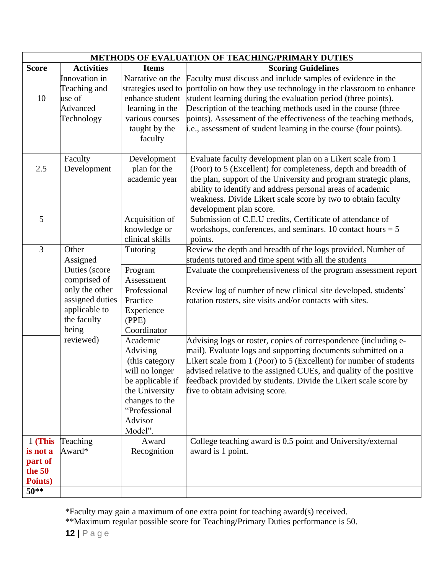|                                                                 | METHODS OF EVALUATION OF TEACHING/PRIMARY DUTIES                                                                                 |                                                                                                                                                         |                                                                                                                                                                                                                                                                                                                                                                                                             |  |
|-----------------------------------------------------------------|----------------------------------------------------------------------------------------------------------------------------------|---------------------------------------------------------------------------------------------------------------------------------------------------------|-------------------------------------------------------------------------------------------------------------------------------------------------------------------------------------------------------------------------------------------------------------------------------------------------------------------------------------------------------------------------------------------------------------|--|
| <b>Score</b>                                                    | <b>Activities</b>                                                                                                                | <b>Items</b>                                                                                                                                            | <b>Scoring Guidelines</b>                                                                                                                                                                                                                                                                                                                                                                                   |  |
| 10                                                              | Innovation in<br>Teaching and<br>use of<br>Advanced<br>Technology                                                                | Narrative on the<br>strategies used to<br>enhance student<br>learning in the<br>various courses<br>taught by the<br>faculty                             | Faculty must discuss and include samples of evidence in the<br>portfolio on how they use technology in the classroom to enhance<br>student learning during the evaluation period (three points).<br>Description of the teaching methods used in the course (three<br>points). Assessment of the effectiveness of the teaching methods,<br>i.e., assessment of student learning in the course (four points). |  |
| 2.5                                                             | Faculty<br>Development                                                                                                           | Development<br>plan for the<br>academic year                                                                                                            | Evaluate faculty development plan on a Likert scale from 1<br>(Poor) to 5 (Excellent) for completeness, depth and breadth of<br>the plan, support of the University and program strategic plans,<br>ability to identify and address personal areas of academic<br>weakness. Divide Likert scale score by two to obtain faculty<br>development plan score.                                                   |  |
| 5                                                               |                                                                                                                                  | Acquisition of<br>knowledge or<br>clinical skills                                                                                                       | Submission of C.E.U credits, Certificate of attendance of<br>workshops, conferences, and seminars. 10 contact hours $= 5$<br>points.                                                                                                                                                                                                                                                                        |  |
| 3                                                               | Other<br>Assigned<br>Duties (score<br>comprised of<br>only the other<br>assigned duties<br>applicable to<br>the faculty<br>being | Tutoring<br>Program<br>Assessment<br>Professional<br>Practice<br>Experience<br>(PPE)<br>Coordinator                                                     | Review the depth and breadth of the logs provided. Number of<br>students tutored and time spent with all the students<br>Evaluate the comprehensiveness of the program assessment report<br>Review log of number of new clinical site developed, students'<br>rotation rosters, site visits and/or contacts with sites.                                                                                     |  |
|                                                                 | reviewed)                                                                                                                        | Academic<br>Advising<br>(this category<br>will no longer<br>be applicable if<br>the University<br>changes to the<br>"Professional<br>Advisor<br>Model". | Advising logs or roster, copies of correspondence (including e-<br>mail). Evaluate logs and supporting documents submitted on a<br>Likert scale from 1 (Poor) to 5 (Excellent) for number of students<br>advised relative to the assigned CUEs, and quality of the positive<br>feedback provided by students. Divide the Likert scale score by<br>five to obtain advising score.                            |  |
| 1 (This<br>is not a<br>part of<br>the $50$<br>Points)<br>$50**$ | Teaching<br>Award*                                                                                                               | Award<br>Recognition                                                                                                                                    | College teaching award is 0.5 point and University/external<br>award is 1 point.                                                                                                                                                                                                                                                                                                                            |  |

\*Faculty may gain a maximum of one extra point for teaching award(s) received.

\*\*Maximum regular possible score for Teaching/Primary Duties performance is 50.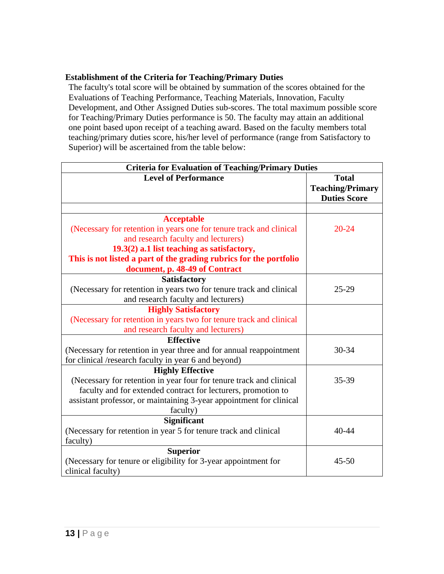#### **Establishment of the Criteria for Teaching/Primary Duties**

The faculty's total score will be obtained by summation of the scores obtained for the Evaluations of Teaching Performance, Teaching Materials, Innovation, Faculty Development, and Other Assigned Duties sub-scores. The total maximum possible score for Teaching/Primary Duties performance is 50. The faculty may attain an additional one point based upon receipt of a teaching award. Based on the faculty members total teaching/primary duties score, his/her level of performance (range from Satisfactory to Superior) will be ascertained from the table below:

| <b>Criteria for Evaluation of Teaching/Primary Duties</b>                                                  |                                                                |  |  |
|------------------------------------------------------------------------------------------------------------|----------------------------------------------------------------|--|--|
| <b>Level of Performance</b>                                                                                | <b>Total</b><br><b>Teaching/Primary</b><br><b>Duties Score</b> |  |  |
|                                                                                                            |                                                                |  |  |
| <b>Acceptable</b>                                                                                          |                                                                |  |  |
| (Necessary for retention in years one for tenure track and clinical<br>and research faculty and lecturers) | $20 - 24$                                                      |  |  |
| 19.3(2) a.1 list teaching as satisfactory,                                                                 |                                                                |  |  |
| This is not listed a part of the grading rubrics for the portfolio                                         |                                                                |  |  |
| document, p. 48-49 of Contract                                                                             |                                                                |  |  |
| <b>Satisfactory</b>                                                                                        |                                                                |  |  |
| (Necessary for retention in years two for tenure track and clinical                                        | $25-29$                                                        |  |  |
| and research faculty and lecturers)                                                                        |                                                                |  |  |
| <b>Highly Satisfactory</b>                                                                                 |                                                                |  |  |
| (Necessary for retention in years two for tenure track and clinical                                        |                                                                |  |  |
| and research faculty and lecturers)                                                                        |                                                                |  |  |
| <b>Effective</b>                                                                                           |                                                                |  |  |
| (Necessary for retention in year three and for annual reappointment                                        | 30-34                                                          |  |  |
| for clinical /research faculty in year 6 and beyond)                                                       |                                                                |  |  |
| <b>Highly Effective</b>                                                                                    |                                                                |  |  |
| (Necessary for retention in year four for tenure track and clinical                                        | 35-39                                                          |  |  |
| faculty and for extended contract for lecturers, promotion to                                              |                                                                |  |  |
| assistant professor, or maintaining 3-year appointment for clinical<br>faculty)                            |                                                                |  |  |
| <b>Significant</b>                                                                                         |                                                                |  |  |
| (Necessary for retention in year 5 for tenure track and clinical                                           | 40-44                                                          |  |  |
| faculty)                                                                                                   |                                                                |  |  |
| <b>Superior</b>                                                                                            |                                                                |  |  |
| (Necessary for tenure or eligibility for 3-year appointment for                                            | $45 - 50$                                                      |  |  |
| clinical faculty)                                                                                          |                                                                |  |  |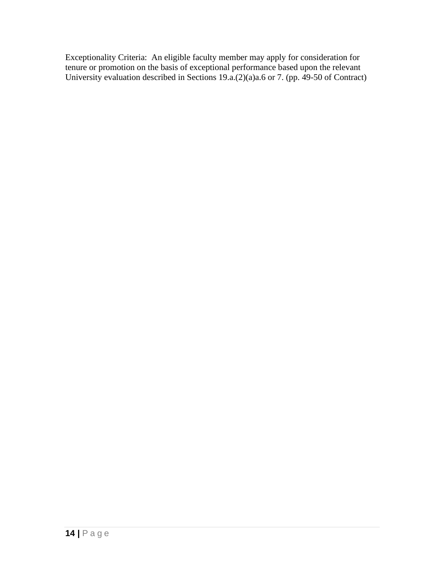Exceptionality Criteria: An eligible faculty member may apply for consideration for tenure or promotion on the basis of exceptional performance based upon the relevant University evaluation described in Sections 19.a.(2)(a)a.6 or 7. (pp. 49-50 of Contract)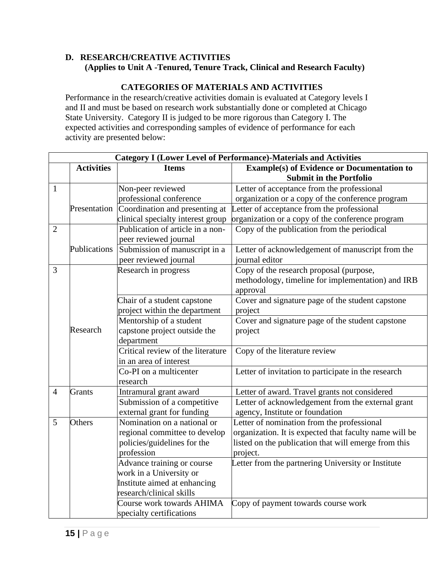#### **D. RESEARCH/CREATIVE ACTIVITIES (Applies to Unit A -Tenured, Tenure Track, Clinical and Research Faculty)**

#### **CATEGORIES OF MATERIALS AND ACTIVITIES**

Performance in the research/creative activities domain is evaluated at Category levels I and II and must be based on research work substantially done or completed at Chicago State University. Category II is judged to be more rigorous than Category I. The expected activities and corresponding samples of evidence of performance for each activity are presented below:

| <b>Category I (Lower Level of Performance)-Materials and Activities</b> |                                   |                                   |                                                        |  |
|-------------------------------------------------------------------------|-----------------------------------|-----------------------------------|--------------------------------------------------------|--|
|                                                                         | <b>Activities</b><br><b>Items</b> |                                   | <b>Example(s) of Evidence or Documentation to</b>      |  |
|                                                                         |                                   |                                   | <b>Submit in the Portfolio</b>                         |  |
| $\mathbf{1}$                                                            |                                   | Non-peer reviewed                 | Letter of acceptance from the professional             |  |
|                                                                         |                                   | professional conference           | organization or a copy of the conference program       |  |
|                                                                         | Presentation                      | Coordination and presenting at    | Letter of acceptance from the professional             |  |
|                                                                         |                                   | clinical specialty interest group | organization or a copy of the conference program       |  |
| $\overline{2}$                                                          |                                   | Publication of article in a non-  | Copy of the publication from the periodical            |  |
|                                                                         |                                   | peer reviewed journal             |                                                        |  |
|                                                                         | Publications                      | Submission of manuscript in a     | Letter of acknowledgement of manuscript from the       |  |
|                                                                         |                                   | peer reviewed journal             | journal editor                                         |  |
| 3                                                                       |                                   | Research in progress              | Copy of the research proposal (purpose,                |  |
|                                                                         |                                   |                                   | methodology, timeline for implementation) and IRB      |  |
|                                                                         |                                   |                                   | approval                                               |  |
|                                                                         |                                   | Chair of a student capstone       | Cover and signature page of the student capstone       |  |
|                                                                         |                                   | project within the department     | project                                                |  |
|                                                                         |                                   | Mentorship of a student           | Cover and signature page of the student capstone       |  |
|                                                                         | Research                          | capstone project outside the      | project                                                |  |
|                                                                         |                                   | department                        |                                                        |  |
|                                                                         |                                   | Critical review of the literature | Copy of the literature review                          |  |
|                                                                         |                                   | in an area of interest            |                                                        |  |
|                                                                         |                                   | Co-PI on a multicenter            | Letter of invitation to participate in the research    |  |
|                                                                         |                                   | research                          |                                                        |  |
| $\overline{4}$                                                          | <b>Grants</b>                     | Intramural grant award            | Letter of award. Travel grants not considered          |  |
|                                                                         |                                   | Submission of a competitive       | Letter of acknowledgement from the external grant      |  |
|                                                                         |                                   | external grant for funding        | agency, Institute or foundation                        |  |
| 5                                                                       | Others                            | Nomination on a national or       | Letter of nomination from the professional             |  |
|                                                                         |                                   | regional committee to develop     | organization. It is expected that faculty name will be |  |
|                                                                         |                                   | policies/guidelines for the       | listed on the publication that will emerge from this   |  |
|                                                                         |                                   | profession                        | project.                                               |  |
|                                                                         |                                   | Advance training or course        | Letter from the partnering University or Institute     |  |
|                                                                         |                                   | work in a University or           |                                                        |  |
|                                                                         |                                   | Institute aimed at enhancing      |                                                        |  |
|                                                                         |                                   | research/clinical skills          |                                                        |  |
|                                                                         |                                   | Course work towards AHIMA         | Copy of payment towards course work                    |  |
|                                                                         |                                   | specialty certifications          |                                                        |  |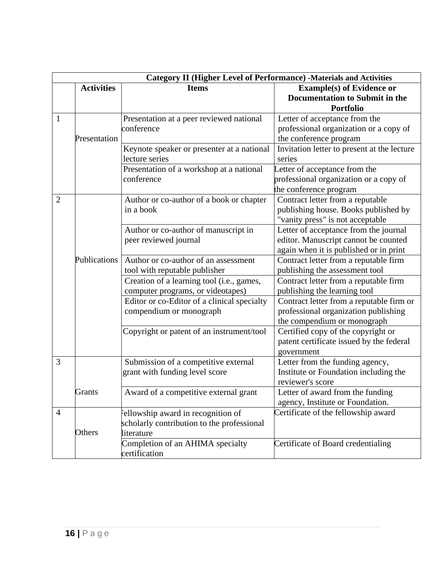|                | <b>Category II (Higher Level of Performance) -Materials and Activities</b> |                                             |                                             |  |  |  |
|----------------|----------------------------------------------------------------------------|---------------------------------------------|---------------------------------------------|--|--|--|
|                | <b>Activities</b>                                                          | <b>Items</b>                                | <b>Example(s) of Evidence or</b>            |  |  |  |
|                |                                                                            |                                             | <b>Documentation to Submit in the</b>       |  |  |  |
|                |                                                                            |                                             | <b>Portfolio</b>                            |  |  |  |
| $\mathbf{1}$   |                                                                            | Presentation at a peer reviewed national    | Letter of acceptance from the               |  |  |  |
|                |                                                                            | conference                                  | professional organization or a copy of      |  |  |  |
|                | Presentation                                                               |                                             | the conference program                      |  |  |  |
|                |                                                                            | Keynote speaker or presenter at a national  | Invitation letter to present at the lecture |  |  |  |
|                |                                                                            | lecture series                              | series                                      |  |  |  |
|                |                                                                            | Presentation of a workshop at a national    | Letter of acceptance from the               |  |  |  |
|                |                                                                            | conference                                  | professional organization or a copy of      |  |  |  |
|                |                                                                            |                                             | the conference program                      |  |  |  |
| 2              |                                                                            | Author or co-author of a book or chapter    | Contract letter from a reputable            |  |  |  |
|                |                                                                            | in a book                                   | publishing house. Books published by        |  |  |  |
|                |                                                                            |                                             | "vanity press" is not acceptable            |  |  |  |
|                |                                                                            | Author or co-author of manuscript in        | Letter of acceptance from the journal       |  |  |  |
|                |                                                                            | peer reviewed journal                       | editor. Manuscript cannot be counted        |  |  |  |
|                |                                                                            |                                             | again when it is published or in print      |  |  |  |
|                | Publications                                                               | Author or co-author of an assessment        | Contract letter from a reputable firm       |  |  |  |
|                |                                                                            | tool with reputable publisher               | publishing the assessment tool              |  |  |  |
|                |                                                                            | Creation of a learning tool (i.e., games,   | Contract letter from a reputable firm       |  |  |  |
|                |                                                                            | computer programs, or videotapes)           | publishing the learning tool                |  |  |  |
|                |                                                                            | Editor or co-Editor of a clinical specialty | Contract letter from a reputable firm or    |  |  |  |
|                |                                                                            | compendium or monograph                     | professional organization publishing        |  |  |  |
|                |                                                                            |                                             | the compendium or monograph                 |  |  |  |
|                |                                                                            | Copyright or patent of an instrument/tool   | Certified copy of the copyright or          |  |  |  |
|                |                                                                            |                                             | patent certificate issued by the federal    |  |  |  |
|                |                                                                            |                                             | government                                  |  |  |  |
| 3              |                                                                            | Submission of a competitive external        | Letter from the funding agency,             |  |  |  |
|                |                                                                            | grant with funding level score              | Institute or Foundation including the       |  |  |  |
|                |                                                                            |                                             | reviewer's score                            |  |  |  |
|                | <b>Grants</b>                                                              | Award of a competitive external grant       | Letter of award from the funding            |  |  |  |
|                |                                                                            |                                             | agency, Institute or Foundation.            |  |  |  |
| $\overline{4}$ |                                                                            | Fellowship award in recognition of          | Certificate of the fellowship award         |  |  |  |
|                |                                                                            | scholarly contribution to the professional  |                                             |  |  |  |
|                | Others                                                                     | literature                                  |                                             |  |  |  |
|                |                                                                            | Completion of an AHIMA specialty            | Certificate of Board credentialing          |  |  |  |
|                |                                                                            | certification                               |                                             |  |  |  |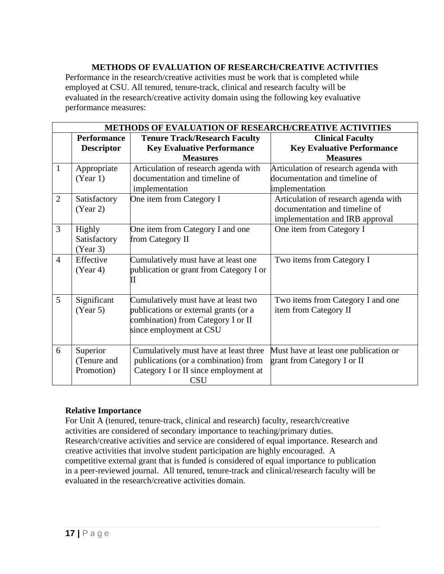#### **METHODS OF EVALUATION OF RESEARCH/CREATIVE ACTIVITIES**

Performance in the research/creative activities must be work that is completed while employed at CSU. All tenured, tenure-track, clinical and research faculty will be evaluated in the research/creative activity domain using the following key evaluative performance measures:

|                | METHODS OF EVALUATION OF RESEARCH/CREATIVE ACTIVITIES |                                                                                                                                               |                                                                                                          |  |  |  |
|----------------|-------------------------------------------------------|-----------------------------------------------------------------------------------------------------------------------------------------------|----------------------------------------------------------------------------------------------------------|--|--|--|
|                | <b>Performance</b><br><b>Descriptor</b>               | <b>Tenure Track/Research Faculty</b><br><b>Key Evaluative Performance</b><br><b>Measures</b>                                                  | <b>Clinical Faculty</b><br><b>Key Evaluative Performance</b><br><b>Measures</b>                          |  |  |  |
| 1              | Appropriate<br>(Year 1)                               | Articulation of research agenda with<br>documentation and timeline of<br>implementation                                                       | Articulation of research agenda with<br>documentation and timeline of<br>implementation                  |  |  |  |
| $\overline{2}$ | Satisfactory<br>(Year 2)                              | One item from Category I                                                                                                                      | Articulation of research agenda with<br>documentation and timeline of<br>implementation and IRB approval |  |  |  |
| $\overline{3}$ | Highly<br>Satisfactory<br>(Year 3)                    | One item from Category I and one<br>from Category II                                                                                          | One item from Category I                                                                                 |  |  |  |
| $\overline{4}$ | Effective<br>(Year 4)                                 | Cumulatively must have at least one<br>publication or grant from Category I or<br>Н                                                           | Two items from Category I                                                                                |  |  |  |
| 5              | Significant<br>(Year 5)                               | Cumulatively must have at least two<br>publications or external grants (or a<br>combination) from Category I or II<br>since employment at CSU | Two items from Category I and one<br>item from Category II                                               |  |  |  |
| 6              | Superior<br>(Tenure and<br>Promotion)                 | Cumulatively must have at least three<br>publications (or a combination) from<br>Category I or II since employment at<br><b>CSU</b>           | Must have at least one publication or<br>grant from Category I or II                                     |  |  |  |

#### **Relative Importance**

For Unit A (tenured, tenure-track, clinical and research) faculty, research/creative activities are considered of secondary importance to teaching/primary duties. Research/creative activities and service are considered of equal importance. Research and creative activities that involve student participation are highly encouraged. A competitive external grant that is funded is considered of equal importance to publication in a peer-reviewed journal. All tenured, tenure-track and clinical/research faculty will be evaluated in the research/creative activities domain.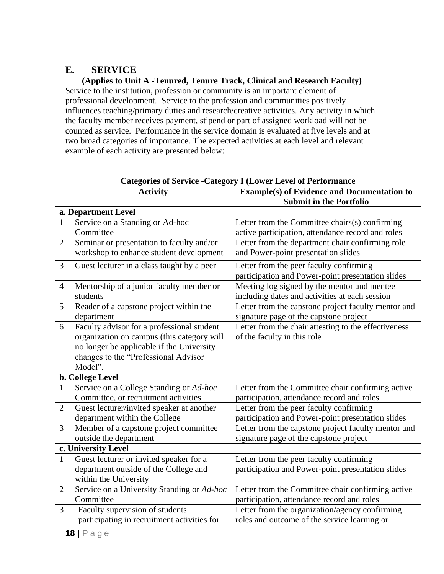### **E. SERVICE**

**(Applies to Unit A -Tenured, Tenure Track, Clinical and Research Faculty)** Service to the institution, profession or community is an important element of professional development. Service to the profession and communities positively influences teaching/primary duties and research/creative activities. Any activity in which the faculty member receives payment, stipend or part of assigned workload will not be counted as service. Performance in the service domain is evaluated at five levels and at two broad categories of importance. The expected activities at each level and relevant example of each activity are presented below:

| <b>Categories of Service - Category I (Lower Level of Performance</b> |                                             |                                                      |  |  |  |
|-----------------------------------------------------------------------|---------------------------------------------|------------------------------------------------------|--|--|--|
|                                                                       | <b>Activity</b>                             | <b>Example(s) of Evidence and Documentation to</b>   |  |  |  |
|                                                                       |                                             | <b>Submit in the Portfolio</b>                       |  |  |  |
|                                                                       | a. Department Level                         |                                                      |  |  |  |
| $\mathbf{1}$                                                          | Service on a Standing or Ad-hoc             | Letter from the Committee chairs(s) confirming       |  |  |  |
|                                                                       | Committee                                   | active participation, attendance record and roles    |  |  |  |
| $\overline{2}$                                                        | Seminar or presentation to faculty and/or   | Letter from the department chair confirming role     |  |  |  |
|                                                                       | workshop to enhance student development     | and Power-point presentation slides                  |  |  |  |
| 3                                                                     | Guest lecturer in a class taught by a peer  | Letter from the peer faculty confirming              |  |  |  |
|                                                                       |                                             | participation and Power-point presentation slides    |  |  |  |
| $\overline{4}$                                                        | Mentorship of a junior faculty member or    | Meeting log signed by the mentor and mentee          |  |  |  |
|                                                                       | students                                    | including dates and activities at each session       |  |  |  |
| 5                                                                     | Reader of a capstone project within the     | Letter from the capstone project faculty mentor and  |  |  |  |
|                                                                       | department                                  | signature page of the capstone project               |  |  |  |
| 6                                                                     | Faculty advisor for a professional student  | Letter from the chair attesting to the effectiveness |  |  |  |
|                                                                       | organization on campus (this category will  | of the faculty in this role                          |  |  |  |
|                                                                       | no longer be applicable if the University   |                                                      |  |  |  |
|                                                                       | changes to the "Professional Advisor        |                                                      |  |  |  |
|                                                                       | Model".                                     |                                                      |  |  |  |
|                                                                       | <b>b. College Level</b>                     |                                                      |  |  |  |
| 1                                                                     | Service on a College Standing or Ad-hoc     | Letter from the Committee chair confirming active    |  |  |  |
|                                                                       | Committee, or recruitment activities        | participation, attendance record and roles           |  |  |  |
| $\overline{2}$                                                        | Guest lecturer/invited speaker at another   | Letter from the peer faculty confirming              |  |  |  |
|                                                                       | department within the College               | participation and Power-point presentation slides    |  |  |  |
| 3                                                                     | Member of a capstone project committee      | Letter from the capstone project faculty mentor and  |  |  |  |
|                                                                       | outside the department                      | signature page of the capstone project               |  |  |  |
|                                                                       | c. University Level                         |                                                      |  |  |  |
| $\mathbf{1}$                                                          | Guest lecturer or invited speaker for a     | Letter from the peer faculty confirming              |  |  |  |
|                                                                       | department outside of the College and       | participation and Power-point presentation slides    |  |  |  |
|                                                                       | within the University                       |                                                      |  |  |  |
| $\mathbf{2}$                                                          | Service on a University Standing or Ad-hoc  | Letter from the Committee chair confirming active    |  |  |  |
|                                                                       | Committee                                   | participation, attendance record and roles           |  |  |  |
| 3                                                                     | Faculty supervision of students             | Letter from the organization/agency confirming       |  |  |  |
|                                                                       | participating in recruitment activities for | roles and outcome of the service learning or         |  |  |  |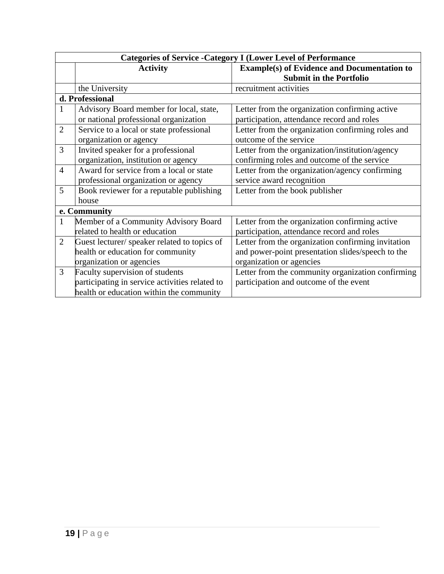| <b>Categories of Service - Category I (Lower Level of Performance</b> |                                                |                                                    |  |
|-----------------------------------------------------------------------|------------------------------------------------|----------------------------------------------------|--|
|                                                                       | <b>Activity</b>                                | <b>Example(s) of Evidence and Documentation to</b> |  |
|                                                                       |                                                | <b>Submit in the Portfolio</b>                     |  |
|                                                                       | the University                                 | recruitment activities                             |  |
|                                                                       | d. Professional                                |                                                    |  |
| $\mathbf{1}$                                                          | Advisory Board member for local, state,        | Letter from the organization confirming active     |  |
|                                                                       | or national professional organization          | participation, attendance record and roles         |  |
| $\overline{2}$                                                        | Service to a local or state professional       | Letter from the organization confirming roles and  |  |
|                                                                       | organization or agency                         | outcome of the service                             |  |
| 3                                                                     | Invited speaker for a professional             | Letter from the organization/institution/agency    |  |
|                                                                       | organization, institution or agency            | confirming roles and outcome of the service        |  |
| $\overline{4}$                                                        | Award for service from a local or state        | Letter from the organization/agency confirming     |  |
|                                                                       | professional organization or agency            | service award recognition                          |  |
| 5                                                                     | Book reviewer for a reputable publishing       | Letter from the book publisher                     |  |
|                                                                       | house                                          |                                                    |  |
|                                                                       | e. Community                                   |                                                    |  |
| $\mathbf{1}$                                                          | Member of a Community Advisory Board           | Letter from the organization confirming active     |  |
|                                                                       | related to health or education                 | participation, attendance record and roles         |  |
| $\overline{2}$                                                        | Guest lecturer/ speaker related to topics of   | Letter from the organization confirming invitation |  |
|                                                                       | health or education for community              | and power-point presentation slides/speech to the  |  |
|                                                                       | organization or agencies                       | organization or agencies                           |  |
| 3                                                                     | Faculty supervision of students                | Letter from the community organization confirming  |  |
|                                                                       | participating in service activities related to | participation and outcome of the event             |  |
|                                                                       | health or education within the community       |                                                    |  |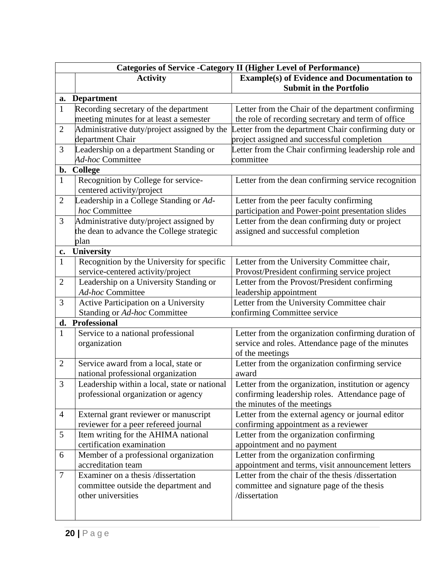|                | <b>Categories of Service - Category II (Higher Level of Performance)</b> |                                                                                                        |  |  |  |
|----------------|--------------------------------------------------------------------------|--------------------------------------------------------------------------------------------------------|--|--|--|
|                | <b>Activity</b>                                                          | <b>Example(s) of Evidence and Documentation to</b>                                                     |  |  |  |
|                |                                                                          | <b>Submit in the Portfolio</b>                                                                         |  |  |  |
|                | a. Department                                                            |                                                                                                        |  |  |  |
| $\mathbf{1}$   | Recording secretary of the department                                    | Letter from the Chair of the department confirming                                                     |  |  |  |
|                | meeting minutes for at least a semester                                  | the role of recording secretary and term of office                                                     |  |  |  |
| $\overline{2}$ | Administrative duty/project assigned by the                              | Letter from the department Chair confirming duty or                                                    |  |  |  |
|                | department Chair                                                         | project assigned and successful completion                                                             |  |  |  |
| 3              | Leadership on a department Standing or                                   | Letter from the Chair confirming leadership role and                                                   |  |  |  |
|                | Ad-hoc Committee                                                         | committee                                                                                              |  |  |  |
| b.             | College                                                                  |                                                                                                        |  |  |  |
| $\mathbf{1}$   | Recognition by College for service-<br>centered activity/project         | Letter from the dean confirming service recognition                                                    |  |  |  |
| $\overline{2}$ | Leadership in a College Standing or Ad-                                  | Letter from the peer faculty confirming                                                                |  |  |  |
|                | hoc Committee                                                            | participation and Power-point presentation slides                                                      |  |  |  |
| 3              | Administrative duty/project assigned by                                  | Letter from the dean confirming duty or project                                                        |  |  |  |
|                | the dean to advance the College strategic                                | assigned and successful completion                                                                     |  |  |  |
|                | plan                                                                     |                                                                                                        |  |  |  |
| $c_{\bullet}$  | <b>University</b>                                                        |                                                                                                        |  |  |  |
| $\mathbf{1}$   | Recognition by the University for specific                               | Letter from the University Committee chair,                                                            |  |  |  |
|                | service-centered activity/project                                        | Provost/President confirming service project                                                           |  |  |  |
| $\overline{2}$ | Leadership on a University Standing or                                   | Letter from the Provost/President confirming                                                           |  |  |  |
|                | Ad-hoc Committee                                                         | leadership appointment                                                                                 |  |  |  |
| 3              | Active Participation on a University                                     | Letter from the University Committee chair                                                             |  |  |  |
|                | Standing or Ad-hoc Committee                                             | confirming Committee service                                                                           |  |  |  |
| d.             | Professional                                                             |                                                                                                        |  |  |  |
| 1              | Service to a national professional                                       | Letter from the organization confirming duration of                                                    |  |  |  |
|                | organization                                                             | service and roles. Attendance page of the minutes                                                      |  |  |  |
|                |                                                                          | of the meetings                                                                                        |  |  |  |
| $\overline{2}$ | Service award from a local, state or                                     | Letter from the organization confirming service                                                        |  |  |  |
|                | national professional organization                                       | award                                                                                                  |  |  |  |
| 3              | Leadership within a local, state or national                             | Letter from the organization, institution or agency                                                    |  |  |  |
|                | professional organization or agency                                      | confirming leadership roles. Attendance page of                                                        |  |  |  |
|                |                                                                          | the minutes of the meetings                                                                            |  |  |  |
| $\overline{4}$ | External grant reviewer or manuscript                                    | Letter from the external agency or journal editor                                                      |  |  |  |
|                | reviewer for a peer refereed journal                                     | confirming appointment as a reviewer                                                                   |  |  |  |
| 5              | Item writing for the AHIMA national                                      | Letter from the organization confirming                                                                |  |  |  |
|                | certification examination                                                | appointment and no payment                                                                             |  |  |  |
| 6              | Member of a professional organization<br>accreditation team              | Letter from the organization confirming                                                                |  |  |  |
|                | Examiner on a thesis /dissertation                                       | appointment and terms, visit announcement letters<br>Letter from the chair of the thesis /dissertation |  |  |  |
| 7              |                                                                          |                                                                                                        |  |  |  |
|                | committee outside the department and<br>other universities               | committee and signature page of the thesis<br>/dissertation                                            |  |  |  |
|                |                                                                          |                                                                                                        |  |  |  |
|                |                                                                          |                                                                                                        |  |  |  |
|                |                                                                          |                                                                                                        |  |  |  |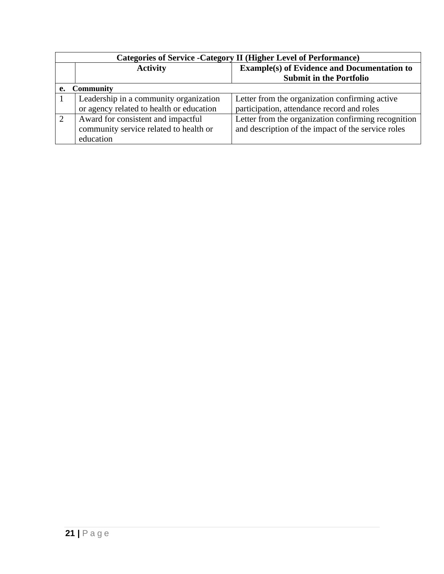| <b>Categories of Service - Category II (Higher Level of Performance)</b> |                                          |                                                     |  |
|--------------------------------------------------------------------------|------------------------------------------|-----------------------------------------------------|--|
|                                                                          | <b>Activity</b>                          | <b>Example(s) of Evidence and Documentation to</b>  |  |
|                                                                          |                                          | <b>Submit in the Portfolio</b>                      |  |
| e.                                                                       | <b>Community</b>                         |                                                     |  |
|                                                                          | Leadership in a community organization   | Letter from the organization confirming active      |  |
|                                                                          | or agency related to health or education | participation, attendance record and roles          |  |
|                                                                          | Award for consistent and impactful       | Letter from the organization confirming recognition |  |
|                                                                          | community service related to health or   | and description of the impact of the service roles  |  |
|                                                                          | education                                |                                                     |  |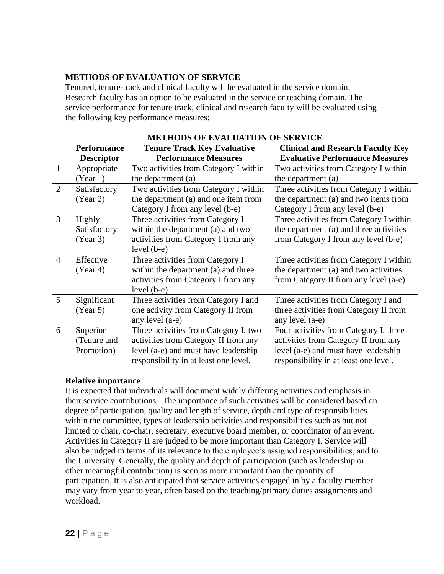#### **METHODS OF EVALUATION OF SERVICE**

Tenured, tenure-track and clinical faculty will be evaluated in the service domain. Research faculty has an option to be evaluated in the service or teaching domain. The service performance for tenure track, clinical and research faculty will be evaluated using the following key performance measures:

| <b>METHODS OF EVALUATION OF SERVICE</b> |                    |                                       |                                          |  |  |
|-----------------------------------------|--------------------|---------------------------------------|------------------------------------------|--|--|
|                                         | <b>Performance</b> | <b>Tenure Track Key Evaluative</b>    | <b>Clinical and Research Faculty Key</b> |  |  |
|                                         | <b>Descriptor</b>  | <b>Performance Measures</b>           | <b>Evaluative Performance Measures</b>   |  |  |
| 1                                       | Appropriate        | Two activities from Category I within | Two activities from Category I within    |  |  |
|                                         | (Year 1)           | the department (a)                    | the department (a)                       |  |  |
| $\overline{2}$                          | Satisfactory       | Two activities from Category I within | Three activities from Category I within  |  |  |
|                                         | (Year 2)           | the department (a) and one item from  | the department (a) and two items from    |  |  |
|                                         |                    | Category I from any level (b-e)       | Category I from any level (b-e)          |  |  |
| 3                                       | Highly             | Three activities from Category I      | Three activities from Category I within  |  |  |
|                                         | Satisfactory       | within the department (a) and two     | the department (a) and three activities  |  |  |
|                                         | (Year 3)           | activities from Category I from any   | from Category I from any level (b-e)     |  |  |
|                                         |                    | $level (b-e)$                         |                                          |  |  |
| $\overline{4}$                          | Effective          | Three activities from Category I      | Three activities from Category I within  |  |  |
|                                         | (Year 4)           | within the department (a) and three   | the department (a) and two activities    |  |  |
|                                         |                    | activities from Category I from any   | from Category II from any level (a-e)    |  |  |
|                                         |                    | $level (b-e)$                         |                                          |  |  |
| 5                                       | Significant        | Three activities from Category I and  | Three activities from Category I and     |  |  |
|                                         | (Year 5)           | one activity from Category II from    | three activities from Category II from   |  |  |
|                                         |                    | any level (a-e)                       | any level (a-e)                          |  |  |
| 6                                       | Superior           | Three activities from Category I, two | Four activities from Category I, three   |  |  |
|                                         | (Tenure and        | activities from Category II from any  | activities from Category II from any     |  |  |
|                                         | Promotion)         | level (a-e) and must have leadership  | level (a-e) and must have leadership     |  |  |
|                                         |                    | responsibility in at least one level. | responsibility in at least one level.    |  |  |

#### **Relative importance**

It is expected that individuals will document widely differing activities and emphasis in their service contributions. The importance of such activities will be considered based on degree of participation, quality and length of service, depth and type of responsibilities within the committee, types of leadership activities and responsibilities such as but not limited to chair, co-chair, secretary, executive board member, or coordinator of an event. Activities in Category II are judged to be more important than Category I. Service will also be judged in terms of its relevance to the employee's assigned responsibilities, and to the University. Generally, the quality and depth of participation (such as leadership or other meaningful contribution) is seen as more important than the quantity of participation. It is also anticipated that service activities engaged in by a faculty member may vary from year to year, often based on the teaching/primary duties assignments and workload.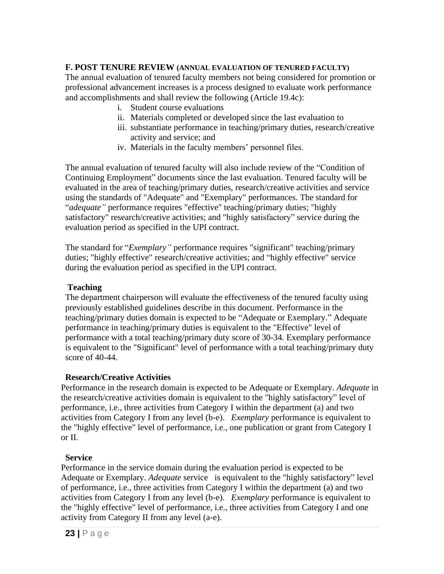#### **F. POST TENURE REVIEW (ANNUAL EVALUATION OF TENURED FACULTY)**

The annual evaluation of tenured faculty members not being considered for promotion or professional advancement increases is a process designed to evaluate work performance and accomplishments and shall review the following (Article 19.4c):

- i. Student course evaluations
- ii. Materials completed or developed since the last evaluation to
- iii. substantiate performance in teaching/primary duties, research/creative activity and service; and
- iv. Materials in the faculty members' personnel files.

The annual evaluation of tenured faculty will also include review of the "Condition of Continuing Employment" documents since the last evaluation. Tenured faculty will be evaluated in the area of teaching/primary duties, research/creative activities and service using the standards of "Adequate" and "Exemplary" performances. The standard for "*adequate"* performance requires "effective" teaching/primary duties; "highly satisfactory" research/creative activities; and "highly satisfactory" service during the evaluation period as specified in the UPI contract.

The standard for "*Exemplary"* performance requires "significant" teaching/primary duties; "highly effective" research/creative activities; and "highly effective" service during the evaluation period as specified in the UPI contract.

#### **Teaching**

The department chairperson will evaluate the effectiveness of the tenured faculty using previously established guidelines describe in this document. Performance in the teaching/primary duties domain is expected to be "Adequate or Exemplary." Adequate performance in teaching/primary duties is equivalent to the "Effective" level of performance with a total teaching/primary duty score of 30-34. Exemplary performance is equivalent to the "Significant" level of performance with a total teaching/primary duty score of 40-44.

#### **Research/Creative Activities**

Performance in the research domain is expected to be Adequate or Exemplary. *Adequate* in the research/creative activities domain is equivalent to the "highly satisfactory" level of performance, i.e., three activities from Category I within the department (a) and two activities from Category I from any level (b-e). *Exemplary* performance is equivalent to the "highly effective" level of performance, i.e., one publication or grant from Category I or II.

#### **Service**

Performance in the service domain during the evaluation period is expected to be Adequate or Exemplary. *Adequate* service is equivalent to the "highly satisfactory" level of performance, i.e., three activities from Category I within the department (a) and two activities from Category I from any level (b-e). *Exemplary* performance is equivalent to the "highly effective" level of performance, i.e., three activities from Category I and one activity from Category II from any level (a-e).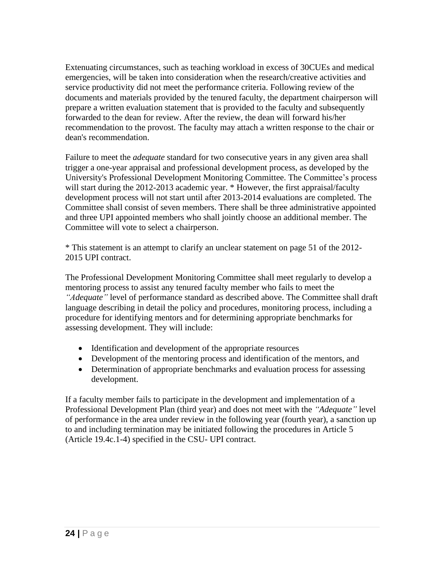Extenuating circumstances, such as teaching workload in excess of 30CUEs and medical emergencies, will be taken into consideration when the research/creative activities and service productivity did not meet the performance criteria. Following review of the documents and materials provided by the tenured faculty, the department chairperson will prepare a written evaluation statement that is provided to the faculty and subsequently forwarded to the dean for review. After the review, the dean will forward his/her recommendation to the provost. The faculty may attach a written response to the chair or dean's recommendation.

Failure to meet the *adequate* standard for two consecutive years in any given area shall trigger a one-year appraisal and professional development process, as developed by the University's Professional Development Monitoring Committee. The Committee's process will start during the 2012-2013 academic year. \* However, the first appraisal/faculty development process will not start until after 2013-2014 evaluations are completed. The Committee shall consist of seven members. There shall be three administrative appointed and three UPI appointed members who shall jointly choose an additional member. The Committee will vote to select a chairperson.

\* This statement is an attempt to clarify an unclear statement on page 51 of the 2012- 2015 UPI contract.

The Professional Development Monitoring Committee shall meet regularly to develop a mentoring process to assist any tenured faculty member who fails to meet the *"Adequate"* level of performance standard as described above. The Committee shall draft language describing in detail the policy and procedures, monitoring process, including a procedure for identifying mentors and for determining appropriate benchmarks for assessing development. They will include:

- Identification and development of the appropriate resources
- Development of the mentoring process and identification of the mentors, and
- Determination of appropriate benchmarks and evaluation process for assessing development.

If a faculty member fails to participate in the development and implementation of a Professional Development Plan (third year) and does not meet with the *"Adequate"* level of performance in the area under review in the following year (fourth year), a sanction up to and including termination may be initiated following the procedures in Article 5 (Article 19.4c.1-4) specified in the CSU- UPI contract.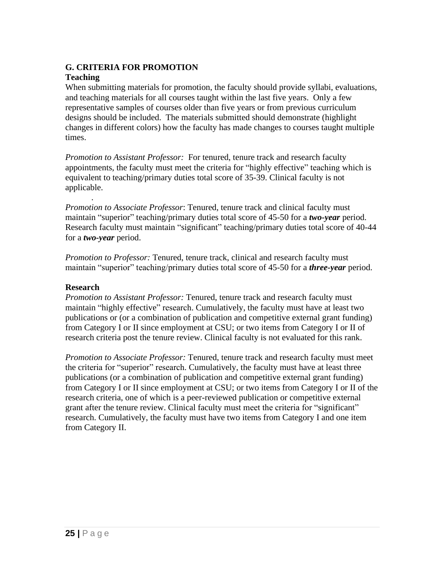#### **G. CRITERIA FOR PROMOTION**

#### **Teaching**

When submitting materials for promotion, the faculty should provide syllabi, evaluations, and teaching materials for all courses taught within the last five years. Only a few representative samples of courses older than five years or from previous curriculum designs should be included. The materials submitted should demonstrate (highlight changes in different colors) how the faculty has made changes to courses taught multiple times.

*Promotion to Assistant Professor:* For tenured, tenure track and research faculty appointments, the faculty must meet the criteria for "highly effective" teaching which is equivalent to teaching/primary duties total score of 35-39. Clinical faculty is not applicable.

*Promotion to Associate Professor*: Tenured, tenure track and clinical faculty must maintain "superior" teaching/primary duties total score of 45-50 for a *two-year* period. Research faculty must maintain "significant" teaching/primary duties total score of 40-44 for a *two-year* period.

*Promotion to Professor:* Tenured, tenure track, clinical and research faculty must maintain "superior" teaching/primary duties total score of 45-50 for a *three-year* period.

#### **Research**

.

*Promotion to Assistant Professor:* Tenured, tenure track and research faculty must maintain "highly effective" research. Cumulatively, the faculty must have at least two publications or (or a combination of publication and competitive external grant funding) from Category I or II since employment at CSU; or two items from Category I or II of research criteria post the tenure review. Clinical faculty is not evaluated for this rank.

*Promotion to Associate Professor:* Tenured, tenure track and research faculty must meet the criteria for "superior" research. Cumulatively, the faculty must have at least three publications (or a combination of publication and competitive external grant funding) from Category I or II since employment at CSU; or two items from Category I or II of the research criteria, one of which is a peer-reviewed publication or competitive external grant after the tenure review. Clinical faculty must meet the criteria for "significant" research. Cumulatively, the faculty must have two items from Category I and one item from Category II.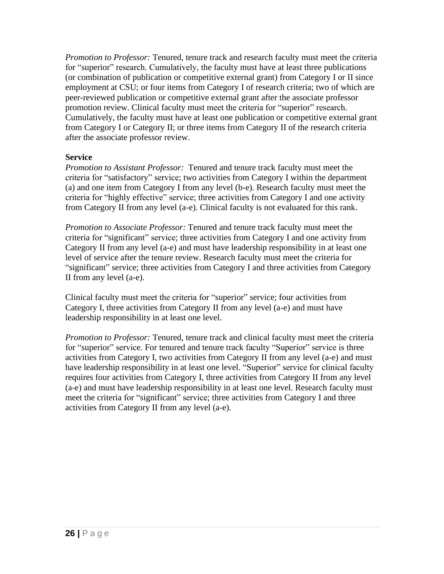*Promotion to Professor:* Tenured, tenure track and research faculty must meet the criteria for "superior" research. Cumulatively, the faculty must have at least three publications (or combination of publication or competitive external grant) from Category I or II since employment at CSU; or four items from Category I of research criteria; two of which are peer-reviewed publication or competitive external grant after the associate professor promotion review. Clinical faculty must meet the criteria for "superior" research. Cumulatively, the faculty must have at least one publication or competitive external grant from Category I or Category II; or three items from Category II of the research criteria after the associate professor review.

#### **Service**

*Promotion to Assistant Professor:* Tenured and tenure track faculty must meet the criteria for "satisfactory" service; two activities from Category I within the department (a) and one item from Category I from any level (b-e). Research faculty must meet the criteria for "highly effective" service; three activities from Category I and one activity from Category II from any level (a-e). Clinical faculty is not evaluated for this rank.

*Promotion to Associate Professor:* Tenured and tenure track faculty must meet the criteria for "significant" service; three activities from Category I and one activity from Category II from any level (a-e) and must have leadership responsibility in at least one level of service after the tenure review. Research faculty must meet the criteria for "significant" service; three activities from Category I and three activities from Category II from any level (a-e).

Clinical faculty must meet the criteria for "superior" service; four activities from Category I, three activities from Category II from any level (a-e) and must have leadership responsibility in at least one level.

*Promotion to Professor:* Tenured, tenure track and clinical faculty must meet the criteria for "superior" service. For tenured and tenure track faculty "Superior" service is three activities from Category I, two activities from Category II from any level (a-e) and must have leadership responsibility in at least one level. "Superior" service for clinical faculty requires four activities from Category I, three activities from Category II from any level (a-e) and must have leadership responsibility in at least one level. Research faculty must meet the criteria for "significant" service; three activities from Category I and three activities from Category II from any level (a-e).